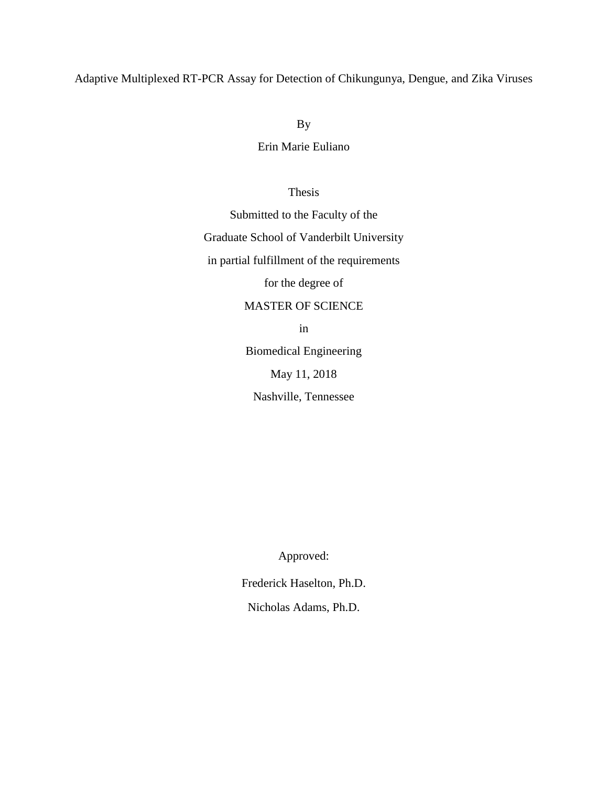## Adaptive Multiplexed RT-PCR Assay for Detection of Chikungunya, Dengue, and Zika Viruses

By

Erin Marie Euliano

Thesis

Submitted to the Faculty of the Graduate School of Vanderbilt University in partial fulfillment of the requirements

for the degree of

## MASTER OF SCIENCE

in

Biomedical Engineering May 11, 2018 Nashville, Tennessee

Approved:

Frederick Haselton, Ph.D.

Nicholas Adams, Ph.D.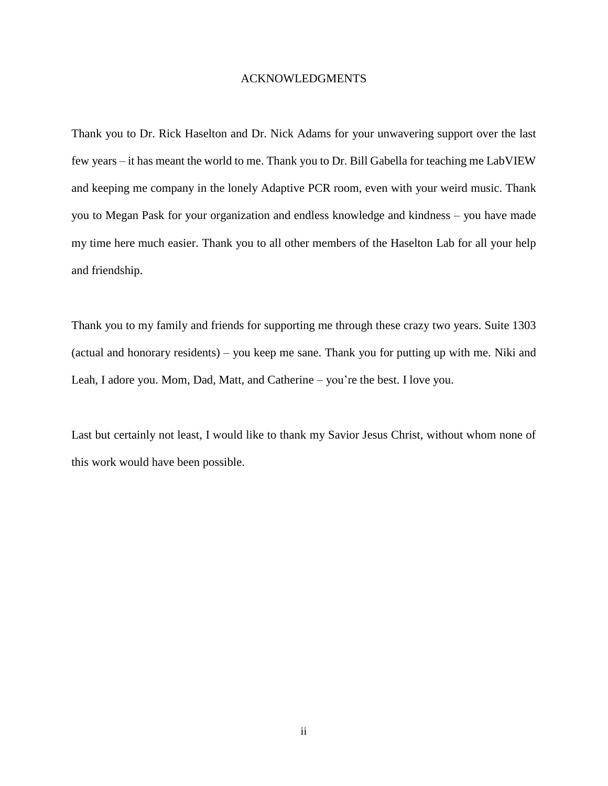#### ACKNOWLEDGMENTS

<span id="page-1-0"></span>Thank you to Dr. Rick Haselton and Dr. Nick Adams for your unwavering support over the last few years – it has meant the world to me. Thank you to Dr. Bill Gabella for teaching me LabVIEW and keeping me company in the lonely Adaptive PCR room, even with your weird music. Thank you to Megan Pask for your organization and endless knowledge and kindness – you have made my time here much easier. Thank you to all other members of the Haselton Lab for all your help and friendship.

Thank you to my family and friends for supporting me through these crazy two years. Suite 1303 (actual and honorary residents) – you keep me sane. Thank you for putting up with me. Niki and Leah, I adore you. Mom, Dad, Matt, and Catherine – you're the best. I love you.

Last but certainly not least, I would like to thank my Savior Jesus Christ, without whom none of this work would have been possible.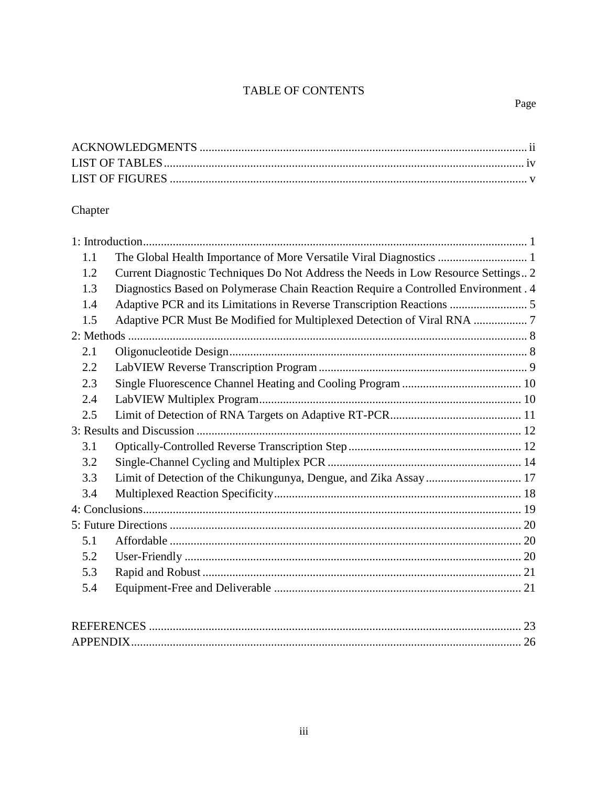## TABLE OF CONTENTS

# Chapter

| 1.1 |                                                                                    |  |  |  |  |
|-----|------------------------------------------------------------------------------------|--|--|--|--|
| 1.2 | Current Diagnostic Techniques Do Not Address the Needs in Low Resource Settings 2  |  |  |  |  |
| 1.3 | Diagnostics Based on Polymerase Chain Reaction Require a Controlled Environment. 4 |  |  |  |  |
| 1.4 |                                                                                    |  |  |  |  |
| 1.5 |                                                                                    |  |  |  |  |
|     |                                                                                    |  |  |  |  |
| 2.1 |                                                                                    |  |  |  |  |
| 2.2 |                                                                                    |  |  |  |  |
| 2.3 |                                                                                    |  |  |  |  |
| 2.4 |                                                                                    |  |  |  |  |
| 2.5 |                                                                                    |  |  |  |  |
|     |                                                                                    |  |  |  |  |
| 3.1 |                                                                                    |  |  |  |  |
| 3.2 |                                                                                    |  |  |  |  |
| 3.3 |                                                                                    |  |  |  |  |
| 3.4 |                                                                                    |  |  |  |  |
|     |                                                                                    |  |  |  |  |
|     |                                                                                    |  |  |  |  |
| 5.1 |                                                                                    |  |  |  |  |
| 5.2 |                                                                                    |  |  |  |  |
| 5.3 |                                                                                    |  |  |  |  |
| 5.4 |                                                                                    |  |  |  |  |
|     |                                                                                    |  |  |  |  |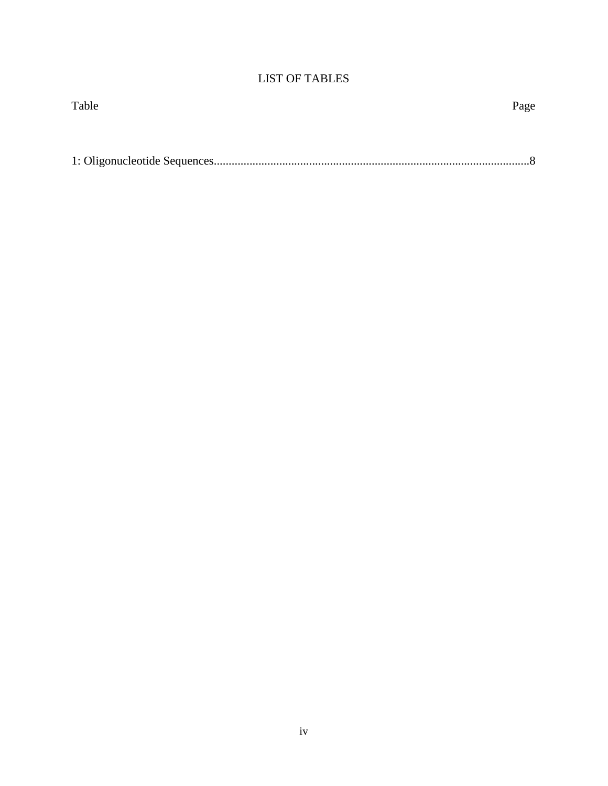## LIST OF TABLES

<span id="page-3-1"></span><span id="page-3-0"></span>

| Table | Page |
|-------|------|
|       |      |
|       |      |
|       |      |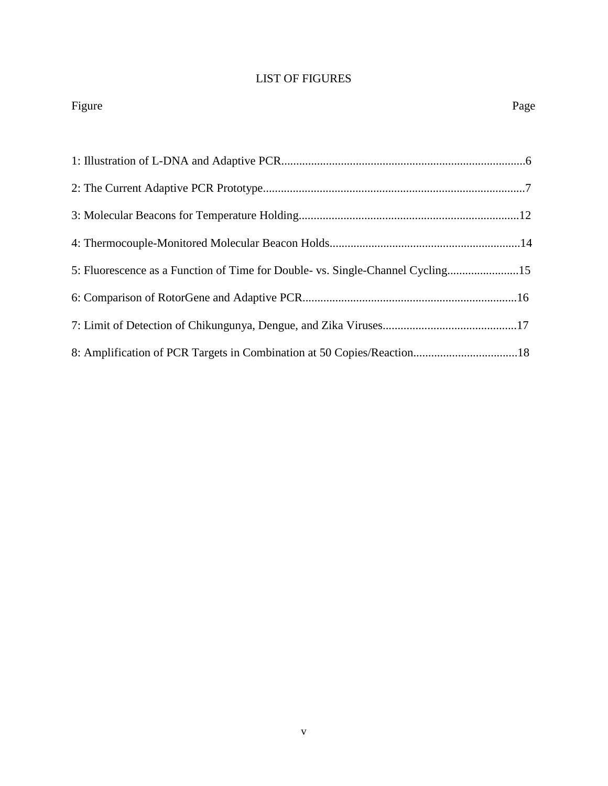## LIST OF FIGURES

| Figure                                                                         | Page |
|--------------------------------------------------------------------------------|------|
|                                                                                |      |
|                                                                                |      |
|                                                                                |      |
|                                                                                |      |
|                                                                                |      |
| 5: Fluorescence as a Function of Time for Double- vs. Single-Channel Cycling15 |      |
|                                                                                |      |
|                                                                                |      |
|                                                                                |      |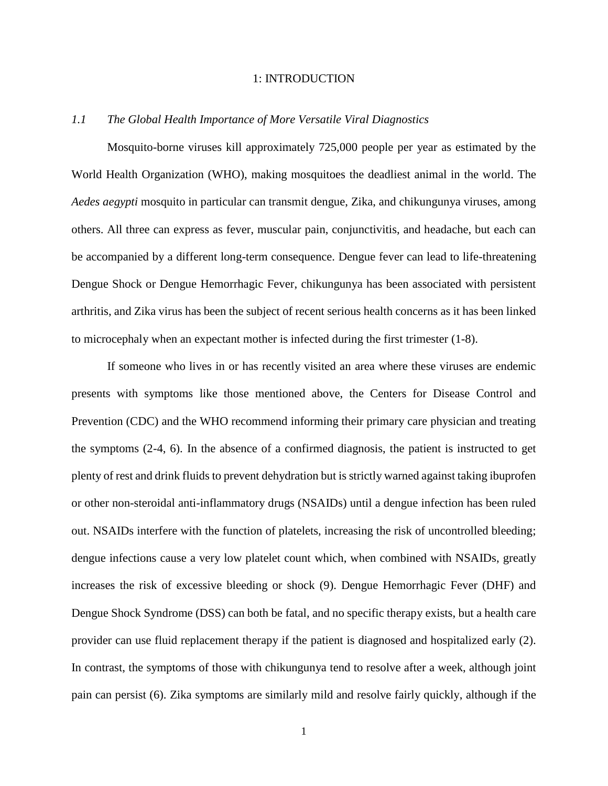#### 1: INTRODUCTION

#### <span id="page-5-1"></span><span id="page-5-0"></span>*1.1 The Global Health Importance of More Versatile Viral Diagnostics*

Mosquito-borne viruses kill approximately 725,000 people per year as estimated by the World Health Organization (WHO), making mosquitoes the deadliest animal in the world. The *Aedes aegypti* mosquito in particular can transmit dengue, Zika, and chikungunya viruses, among others. All three can express as fever, muscular pain, conjunctivitis, and headache, but each can be accompanied by a different long-term consequence. Dengue fever can lead to life-threatening Dengue Shock or Dengue Hemorrhagic Fever, chikungunya has been associated with persistent arthritis, and Zika virus has been the subject of recent serious health concerns as it has been linked to microcephaly when an expectant mother is infected during the first trimester (1-8).

If someone who lives in or has recently visited an area where these viruses are endemic presents with symptoms like those mentioned above, the Centers for Disease Control and Prevention (CDC) and the WHO recommend informing their primary care physician and treating the symptoms (2-4, 6). In the absence of a confirmed diagnosis, the patient is instructed to get plenty of rest and drink fluids to prevent dehydration but is strictly warned against taking ibuprofen or other non-steroidal anti-inflammatory drugs (NSAIDs) until a dengue infection has been ruled out. NSAIDs interfere with the function of platelets, increasing the risk of uncontrolled bleeding; dengue infections cause a very low platelet count which, when combined with NSAIDs, greatly increases the risk of excessive bleeding or shock (9). Dengue Hemorrhagic Fever (DHF) and Dengue Shock Syndrome (DSS) can both be fatal, and no specific therapy exists, but a health care provider can use fluid replacement therapy if the patient is diagnosed and hospitalized early (2). In contrast, the symptoms of those with chikungunya tend to resolve after a week, although joint pain can persist (6). Zika symptoms are similarly mild and resolve fairly quickly, although if the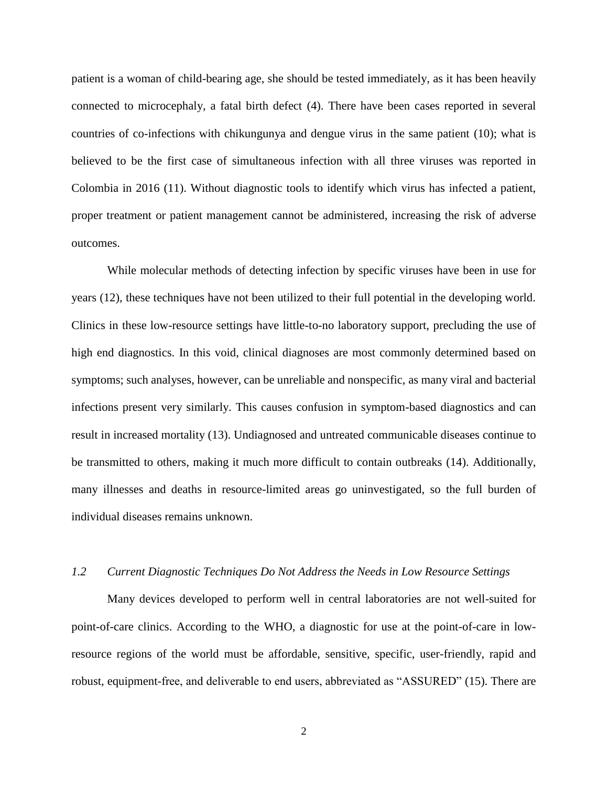patient is a woman of child-bearing age, she should be tested immediately, as it has been heavily connected to microcephaly, a fatal birth defect (4). There have been cases reported in several countries of co-infections with chikungunya and dengue virus in the same patient (10); what is believed to be the first case of simultaneous infection with all three viruses was reported in Colombia in 2016 (11). Without diagnostic tools to identify which virus has infected a patient, proper treatment or patient management cannot be administered, increasing the risk of adverse outcomes.

While molecular methods of detecting infection by specific viruses have been in use for years (12), these techniques have not been utilized to their full potential in the developing world. Clinics in these low-resource settings have little-to-no laboratory support, precluding the use of high end diagnostics. In this void, clinical diagnoses are most commonly determined based on symptoms; such analyses, however, can be unreliable and nonspecific, as many viral and bacterial infections present very similarly. This causes confusion in symptom-based diagnostics and can result in increased mortality (13). Undiagnosed and untreated communicable diseases continue to be transmitted to others, making it much more difficult to contain outbreaks (14). Additionally, many illnesses and deaths in resource-limited areas go uninvestigated, so the full burden of individual diseases remains unknown.

## <span id="page-6-0"></span>*1.2 Current Diagnostic Techniques Do Not Address the Needs in Low Resource Settings*

Many devices developed to perform well in central laboratories are not well-suited for point-of-care clinics. According to the WHO, a diagnostic for use at the point-of-care in lowresource regions of the world must be affordable, sensitive, specific, user-friendly, rapid and robust, equipment-free, and deliverable to end users, abbreviated as "ASSURED" (15). There are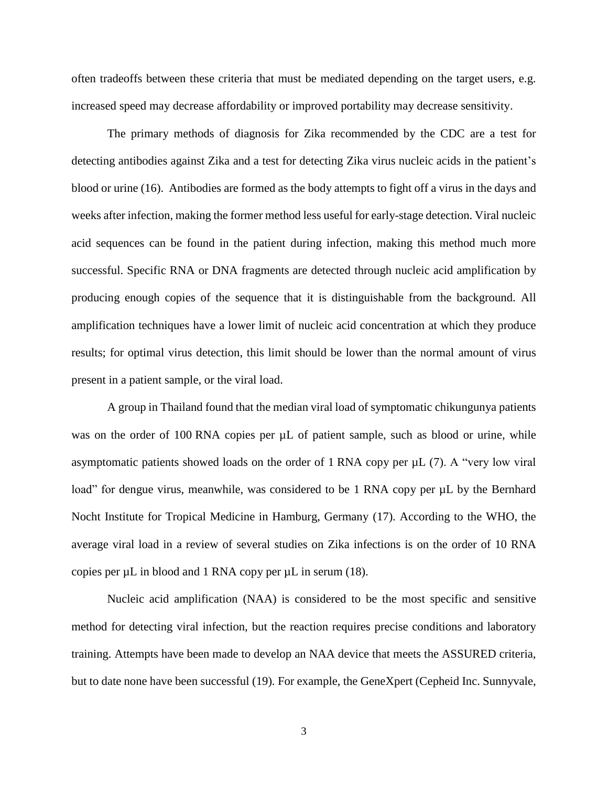often tradeoffs between these criteria that must be mediated depending on the target users, e.g. increased speed may decrease affordability or improved portability may decrease sensitivity.

The primary methods of diagnosis for Zika recommended by the CDC are a test for detecting antibodies against Zika and a test for detecting Zika virus nucleic acids in the patient's blood or urine (16). Antibodies are formed as the body attempts to fight off a virus in the days and weeks after infection, making the former method less useful for early-stage detection. Viral nucleic acid sequences can be found in the patient during infection, making this method much more successful. Specific RNA or DNA fragments are detected through nucleic acid amplification by producing enough copies of the sequence that it is distinguishable from the background. All amplification techniques have a lower limit of nucleic acid concentration at which they produce results; for optimal virus detection, this limit should be lower than the normal amount of virus present in a patient sample, or the viral load.

A group in Thailand found that the median viral load of symptomatic chikungunya patients was on the order of 100 RNA copies per  $\mu$ L of patient sample, such as blood or urine, while asymptomatic patients showed loads on the order of 1 RNA copy per µL (7). A "very low viral load" for dengue virus, meanwhile, was considered to be 1 RNA copy per  $\mu$ L by the Bernhard Nocht Institute for Tropical Medicine in Hamburg, Germany (17). According to the WHO, the average viral load in a review of several studies on Zika infections is on the order of 10 RNA copies per  $\mu$ L in blood and 1 RNA copy per  $\mu$ L in serum (18).

Nucleic acid amplification (NAA) is considered to be the most specific and sensitive method for detecting viral infection, but the reaction requires precise conditions and laboratory training. Attempts have been made to develop an NAA device that meets the ASSURED criteria, but to date none have been successful (19). For example, the GeneXpert (Cepheid Inc. Sunnyvale,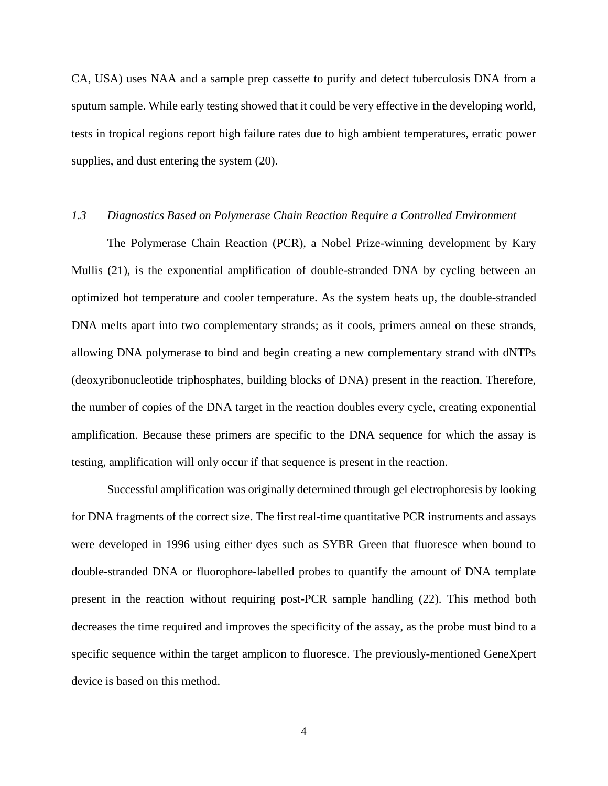CA, USA) uses NAA and a sample prep cassette to purify and detect tuberculosis DNA from a sputum sample. While early testing showed that it could be very effective in the developing world, tests in tropical regions report high failure rates due to high ambient temperatures, erratic power supplies, and dust entering the system (20).

#### <span id="page-8-0"></span>*1.3 Diagnostics Based on Polymerase Chain Reaction Require a Controlled Environment*

The Polymerase Chain Reaction (PCR), a Nobel Prize-winning development by Kary Mullis (21), is the exponential amplification of double-stranded DNA by cycling between an optimized hot temperature and cooler temperature. As the system heats up, the double-stranded DNA melts apart into two complementary strands; as it cools, primers anneal on these strands, allowing DNA polymerase to bind and begin creating a new complementary strand with dNTPs (deoxyribonucleotide triphosphates, building blocks of DNA) present in the reaction. Therefore, the number of copies of the DNA target in the reaction doubles every cycle, creating exponential amplification. Because these primers are specific to the DNA sequence for which the assay is testing, amplification will only occur if that sequence is present in the reaction.

Successful amplification was originally determined through gel electrophoresis by looking for DNA fragments of the correct size. The first real-time quantitative PCR instruments and assays were developed in 1996 using either dyes such as SYBR Green that fluoresce when bound to double-stranded DNA or fluorophore-labelled probes to quantify the amount of DNA template present in the reaction without requiring post-PCR sample handling (22). This method both decreases the time required and improves the specificity of the assay, as the probe must bind to a specific sequence within the target amplicon to fluoresce. The previously-mentioned GeneXpert device is based on this method.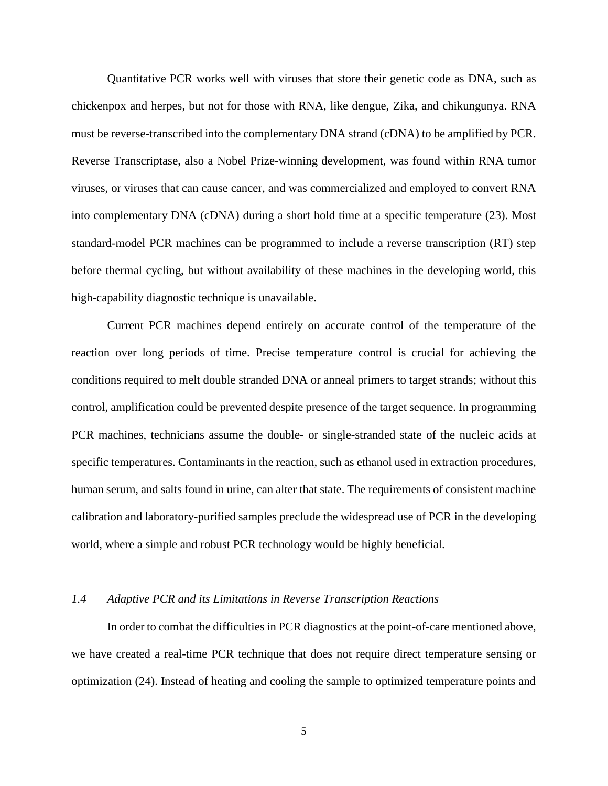Quantitative PCR works well with viruses that store their genetic code as DNA, such as chickenpox and herpes, but not for those with RNA, like dengue, Zika, and chikungunya. RNA must be reverse-transcribed into the complementary DNA strand (cDNA) to be amplified by PCR. Reverse Transcriptase, also a Nobel Prize-winning development, was found within RNA tumor viruses, or viruses that can cause cancer, and was commercialized and employed to convert RNA into complementary DNA (cDNA) during a short hold time at a specific temperature (23). Most standard-model PCR machines can be programmed to include a reverse transcription (RT) step before thermal cycling, but without availability of these machines in the developing world, this high-capability diagnostic technique is unavailable.

Current PCR machines depend entirely on accurate control of the temperature of the reaction over long periods of time. Precise temperature control is crucial for achieving the conditions required to melt double stranded DNA or anneal primers to target strands; without this control, amplification could be prevented despite presence of the target sequence. In programming PCR machines, technicians assume the double- or single-stranded state of the nucleic acids at specific temperatures. Contaminants in the reaction, such as ethanol used in extraction procedures, human serum, and salts found in urine, can alter that state. The requirements of consistent machine calibration and laboratory-purified samples preclude the widespread use of PCR in the developing world, where a simple and robust PCR technology would be highly beneficial.

#### <span id="page-9-0"></span>*1.4 Adaptive PCR and its Limitations in Reverse Transcription Reactions*

In order to combat the difficulties in PCR diagnostics at the point-of-care mentioned above, we have created a real-time PCR technique that does not require direct temperature sensing or optimization (24). Instead of heating and cooling the sample to optimized temperature points and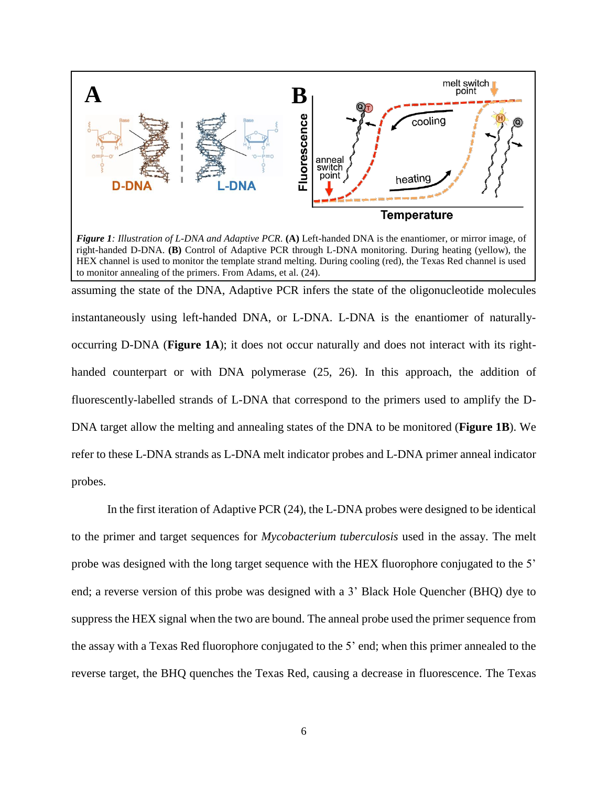

<span id="page-10-0"></span>*Figure 1: Illustration of L-DNA and Adaptive PCR.* **(A)** Left-handed DNA is the enantiomer, or mirror image, of right-handed D-DNA. **(B)** Control of Adaptive PCR through L-DNA monitoring. During heating (yellow), the HEX channel is used to monitor the template strand melting. During cooling (red), the Texas Red channel is used to monitor annealing of the primers. From Adams, et al. (24).

assuming the state of the DNA, Adaptive PCR infers the state of the oligonucleotide molecules instantaneously using left-handed DNA, or L-DNA. L-DNA is the enantiomer of naturallyoccurring D-DNA (**[Figure 1A](#page-10-0)**); it does not occur naturally and does not interact with its righthanded counterpart or with DNA polymerase (25, 26). In this approach, the addition of fluorescently-labelled strands of L-DNA that correspond to the primers used to amplify the D-DNA target allow the melting and annealing states of the DNA to be monitored (**[Figure 1B](#page-10-0)**). We refer to these L-DNA strands as L-DNA melt indicator probes and L-DNA primer anneal indicator probes.

In the first iteration of Adaptive PCR (24), the L-DNA probes were designed to be identical to the primer and target sequences for *Mycobacterium tuberculosis* used in the assay. The melt probe was designed with the long target sequence with the HEX fluorophore conjugated to the 5' end; a reverse version of this probe was designed with a 3' Black Hole Quencher (BHQ) dye to suppress the HEX signal when the two are bound. The anneal probe used the primer sequence from the assay with a Texas Red fluorophore conjugated to the 5' end; when this primer annealed to the reverse target, the BHQ quenches the Texas Red, causing a decrease in fluorescence. The Texas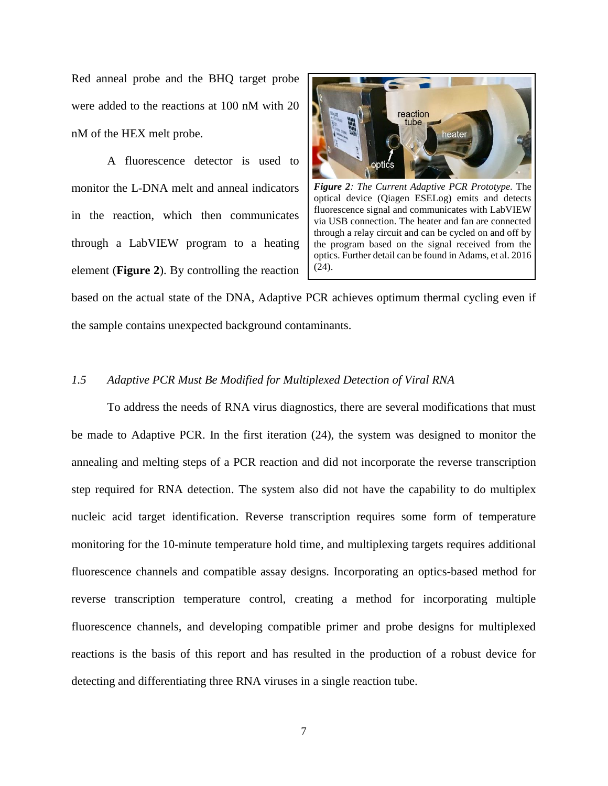Red anneal probe and the BHQ target probe were added to the reactions at 100 nM with 20 nM of the HEX melt probe.

A fluorescence detector is used to monitor the L-DNA melt and anneal indicators in the reaction, which then communicates through a LabVIEW program to a heating element (**[Figure 2](#page-11-1)**). By controlling the reaction

<span id="page-11-1"></span>

*Figure 2: The Current Adaptive PCR Prototype.* The optical device (Qiagen ESELog) emits and detects fluorescence signal and communicates with LabVIEW via USB connection. The heater and fan are connected through a relay circuit and can be cycled on and off by the program based on the signal received from the optics. Further detail can be found in Adams, et al. 2016 (24).

based on the actual state of the DNA, Adaptive PCR achieves optimum thermal cycling even if the sample contains unexpected background contaminants.

#### <span id="page-11-0"></span>*1.5 Adaptive PCR Must Be Modified for Multiplexed Detection of Viral RNA*

To address the needs of RNA virus diagnostics, there are several modifications that must be made to Adaptive PCR. In the first iteration (24), the system was designed to monitor the annealing and melting steps of a PCR reaction and did not incorporate the reverse transcription step required for RNA detection. The system also did not have the capability to do multiplex nucleic acid target identification. Reverse transcription requires some form of temperature monitoring for the 10-minute temperature hold time, and multiplexing targets requires additional fluorescence channels and compatible assay designs. Incorporating an optics-based method for reverse transcription temperature control, creating a method for incorporating multiple fluorescence channels, and developing compatible primer and probe designs for multiplexed reactions is the basis of this report and has resulted in the production of a robust device for detecting and differentiating three RNA viruses in a single reaction tube.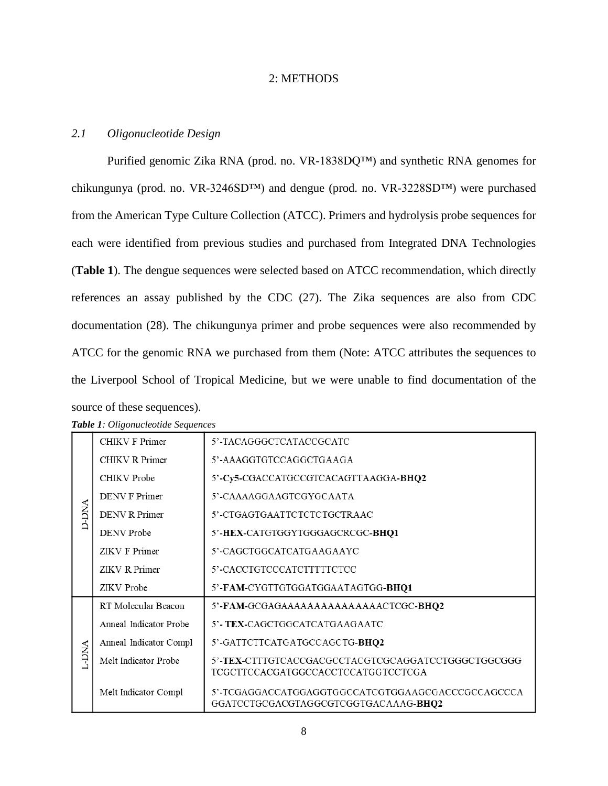## 2: METHODS

## <span id="page-12-1"></span><span id="page-12-0"></span>*2.1 Oligonucleotide Design*

Purified genomic Zika RNA (prod. no. VR-1838DQ™) and synthetic RNA genomes for chikungunya (prod. no. VR-3246SD™) and dengue (prod. no. VR-3228SD™) were purchased from the American Type Culture Collection (ATCC). Primers and hydrolysis probe sequences for each were identified from previous studies and purchased from Integrated DNA Technologies (**[Table 1](#page-12-2)**). The dengue sequences were selected based on ATCC recommendation, which directly references an assay published by the CDC (27). The Zika sequences are also from CDC documentation (28). The chikungunya primer and probe sequences were also recommended by ATCC for the genomic RNA we purchased from them (Note: ATCC attributes the sequences to the Liverpool School of Tropical Medicine, but we were unable to find documentation of the source of these sequences).

| <b>ANG-D</b> | CHIKV F Primer         | 5'-TACAGGGCTCATACCGCATC                                                                   |
|--------------|------------------------|-------------------------------------------------------------------------------------------|
|              | CHIKV R Primer         | 5'-AAAGGTGTCCAGGCTGAAGA                                                                   |
|              | CHIKV Probe            | 5'-Cy5-CGACCATGCCGTCACAGTTAAGGA-BHQ2                                                      |
|              | DENV F Primer          | 5'-CAAAAGGAAGTCGYGCAATA                                                                   |
|              | <b>DENV R Primer</b>   | 5'-CTGAGTGAATTCTCTCTGCTRAAC                                                               |
|              | <b>DENV</b> Probe      | 5'-HEX-CATGTGGYTGGGAGCRCGC-BHQ1                                                           |
|              | <b>ZIKV F Primer</b>   | 5'-CAGCTGGCATCATGAAGAAYC                                                                  |
|              | ZIKV R Primer          | 5'-CACCTGTCCCATCTTTTTCTCC                                                                 |
|              | ZIKV Probe             | 5'-FAM-CYGTTGTGGATGGAATAGTGG-BHQ1                                                         |
| L-DNA        | RT Molecular Beacon    | 5'-FAM-GCGAGAAAAAAAAAAAAAAACTCGC-BHQ2                                                     |
|              | Anneal Indicator Probe | 5'- TEX-CAGCTGGCATCATGAAGAATC                                                             |
|              | Anneal Indicator Compl | 5'-GATTCTTCATGATGCCAGCTG- <b>BHQ2</b>                                                     |
|              | Melt Indicator Probe   | 5'-TEX-CTTTGTCACCGACGCCTACGTCGCAGGATCCTGGGCTGGCGGG<br>TCGCTTCCACGATGGCCACCTCCATGGTCCTCGA  |
|              | Melt Indicator Compl   | 5'-TCGAGGACCATGGAGGTGGCCATCGTGGAAGCGACCCGCCAGCCCA<br>GGATCCTGCGACGTAGGCGTCGGTGACAAAG-BHQ2 |

<span id="page-12-2"></span>*Table 1: Oligonucleotide Sequences*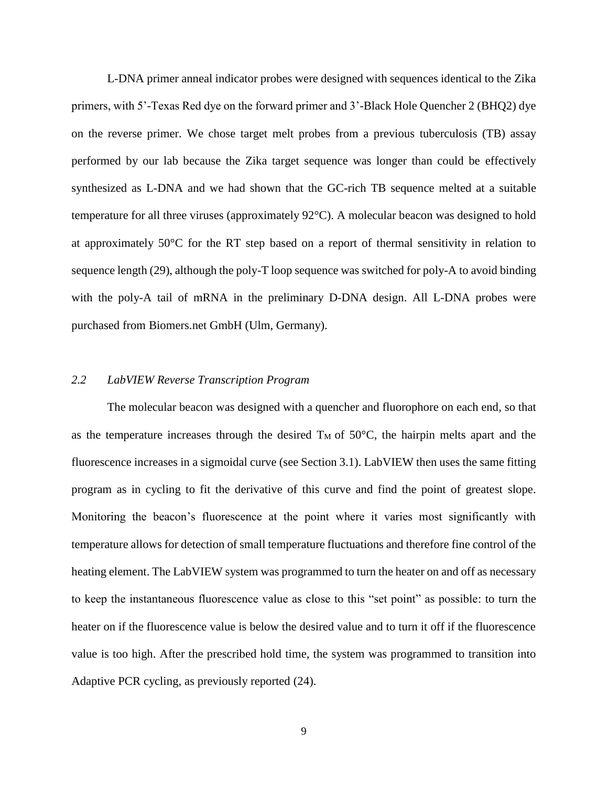L-DNA primer anneal indicator probes were designed with sequences identical to the Zika primers, with 5'-Texas Red dye on the forward primer and 3'-Black Hole Quencher 2 (BHQ2) dye on the reverse primer. We chose target melt probes from a previous tuberculosis (TB) assay performed by our lab because the Zika target sequence was longer than could be effectively synthesized as L-DNA and we had shown that the GC-rich TB sequence melted at a suitable temperature for all three viruses (approximately 92°C). A molecular beacon was designed to hold at approximately 50°C for the RT step based on a report of thermal sensitivity in relation to sequence length (29), although the poly-T loop sequence was switched for poly-A to avoid binding with the poly-A tail of mRNA in the preliminary D-DNA design. All L-DNA probes were purchased from Biomers.net GmbH (Ulm, Germany).

#### <span id="page-13-0"></span>*2.2 LabVIEW Reverse Transcription Program*

The molecular beacon was designed with a quencher and fluorophore on each end, so that as the temperature increases through the desired  $T_M$  of 50°C, the hairpin melts apart and the fluorescence increases in a sigmoidal curve (see Section 3.1). LabVIEW then uses the same fitting program as in cycling to fit the derivative of this curve and find the point of greatest slope. Monitoring the beacon's fluorescence at the point where it varies most significantly with temperature allows for detection of small temperature fluctuations and therefore fine control of the heating element. The LabVIEW system was programmed to turn the heater on and off as necessary to keep the instantaneous fluorescence value as close to this "set point" as possible: to turn the heater on if the fluorescence value is below the desired value and to turn it off if the fluorescence value is too high. After the prescribed hold time, the system was programmed to transition into Adaptive PCR cycling, as previously reported (24).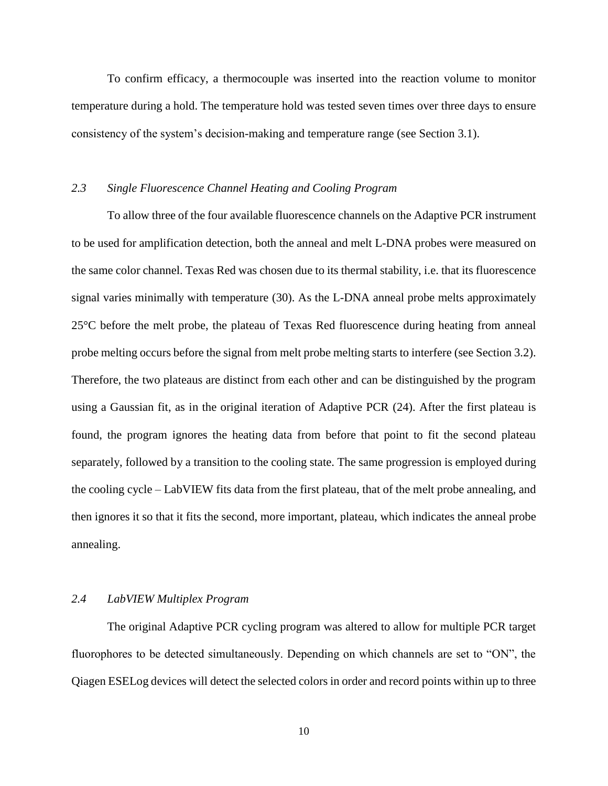To confirm efficacy, a thermocouple was inserted into the reaction volume to monitor temperature during a hold. The temperature hold was tested seven times over three days to ensure consistency of the system's decision-making and temperature range (see Section 3.1).

## <span id="page-14-0"></span>*2.3 Single Fluorescence Channel Heating and Cooling Program*

To allow three of the four available fluorescence channels on the Adaptive PCR instrument to be used for amplification detection, both the anneal and melt L-DNA probes were measured on the same color channel. Texas Red was chosen due to its thermal stability, i.e. that its fluorescence signal varies minimally with temperature (30). As the L-DNA anneal probe melts approximately 25°C before the melt probe, the plateau of Texas Red fluorescence during heating from anneal probe melting occurs before the signal from melt probe melting starts to interfere (see Section 3.2). Therefore, the two plateaus are distinct from each other and can be distinguished by the program using a Gaussian fit, as in the original iteration of Adaptive PCR (24). After the first plateau is found, the program ignores the heating data from before that point to fit the second plateau separately, followed by a transition to the cooling state. The same progression is employed during the cooling cycle – LabVIEW fits data from the first plateau, that of the melt probe annealing, and then ignores it so that it fits the second, more important, plateau, which indicates the anneal probe annealing.

#### <span id="page-14-1"></span>*2.4 LabVIEW Multiplex Program*

The original Adaptive PCR cycling program was altered to allow for multiple PCR target fluorophores to be detected simultaneously. Depending on which channels are set to "ON", the Qiagen ESELog devices will detect the selected colors in order and record points within up to three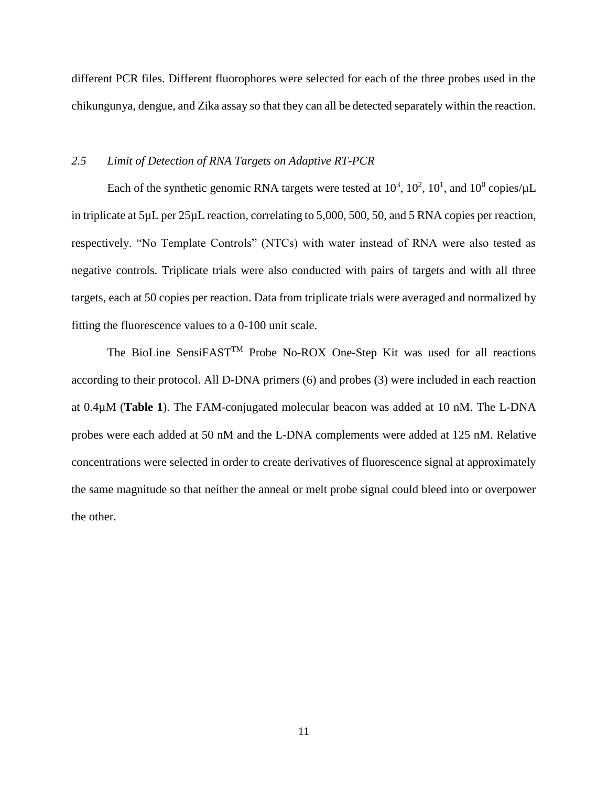different PCR files. Different fluorophores were selected for each of the three probes used in the chikungunya, dengue, and Zika assay so that they can all be detected separately within the reaction.

### <span id="page-15-0"></span>*2.5 Limit of Detection of RNA Targets on Adaptive RT-PCR*

Each of the synthetic genomic RNA targets were tested at  $10^3$ ,  $10^2$ ,  $10^1$ , and  $10^0$  copies/ $\mu$ L in triplicate at 5µL per 25µL reaction, correlating to 5,000, 500, 50, and 5 RNA copies per reaction, respectively. "No Template Controls" (NTCs) with water instead of RNA were also tested as negative controls. Triplicate trials were also conducted with pairs of targets and with all three targets, each at 50 copies per reaction. Data from triplicate trials were averaged and normalized by fitting the fluorescence values to a 0-100 unit scale.

The BioLine SensiFAST<sup>TM</sup> Probe No-ROX One-Step Kit was used for all reactions according to their protocol. All D-DNA primers (6) and probes (3) were included in each reaction at 0.4µM (**[Table 1](#page-12-2)**). The FAM-conjugated molecular beacon was added at 10 nM. The L-DNA probes were each added at 50 nM and the L-DNA complements were added at 125 nM. Relative concentrations were selected in order to create derivatives of fluorescence signal at approximately the same magnitude so that neither the anneal or melt probe signal could bleed into or overpower the other.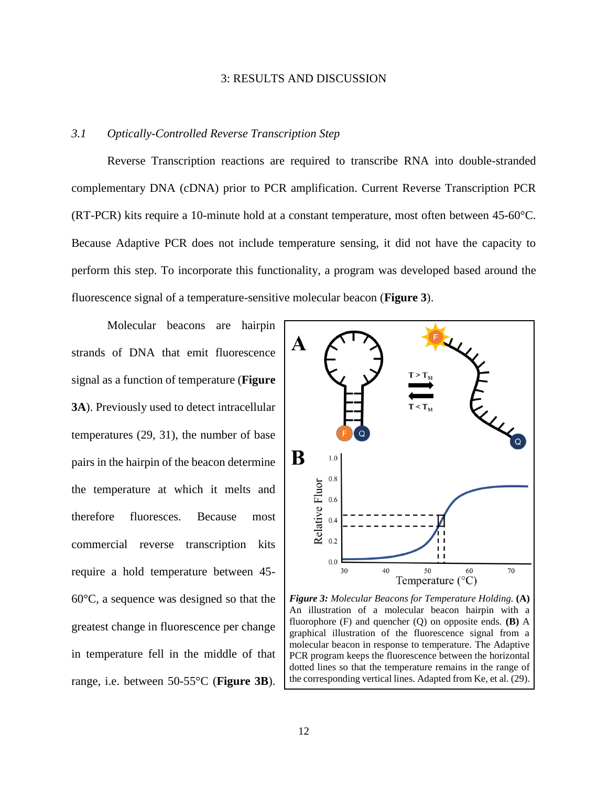#### 3: RESULTS AND DISCUSSION

### <span id="page-16-1"></span><span id="page-16-0"></span>*3.1 Optically-Controlled Reverse Transcription Step*

Reverse Transcription reactions are required to transcribe RNA into double-stranded complementary DNA (cDNA) prior to PCR amplification. Current Reverse Transcription PCR (RT-PCR) kits require a 10-minute hold at a constant temperature, most often between 45-60°C. Because Adaptive PCR does not include temperature sensing, it did not have the capacity to perform this step. To incorporate this functionality, a program was developed based around the fluorescence signal of a temperature-sensitive molecular beacon (**[Figure 3](#page-16-2)**).

Molecular beacons are hairpin strands of DNA that emit fluorescence signal as a function of temperature (**[Figure](#page-16-2)  [3A](#page-16-2)**). Previously used to detect intracellular temperatures (29, 31), the number of base pairs in the hairpin of the beacon determine the temperature at which it melts and therefore fluoresces. Because most commercial reverse transcription kits require a hold temperature between 45- 60°C, a sequence was designed so that the greatest change in fluorescence per change in temperature fell in the middle of that range, i.e. between 50-55°C (**[Figure 3B](#page-16-2)**).



<span id="page-16-2"></span>*Figure 3: Molecular Beacons for Temperature Holding.* **(A)** An illustration of a molecular beacon hairpin with a fluorophore (F) and quencher (Q) on opposite ends. **(B)** A graphical illustration of the fluorescence signal from a molecular beacon in response to temperature. The Adaptive PCR program keeps the fluorescence between the horizontal dotted lines so that the temperature remains in the range of the corresponding vertical lines. Adapted from Ke, et al. (29).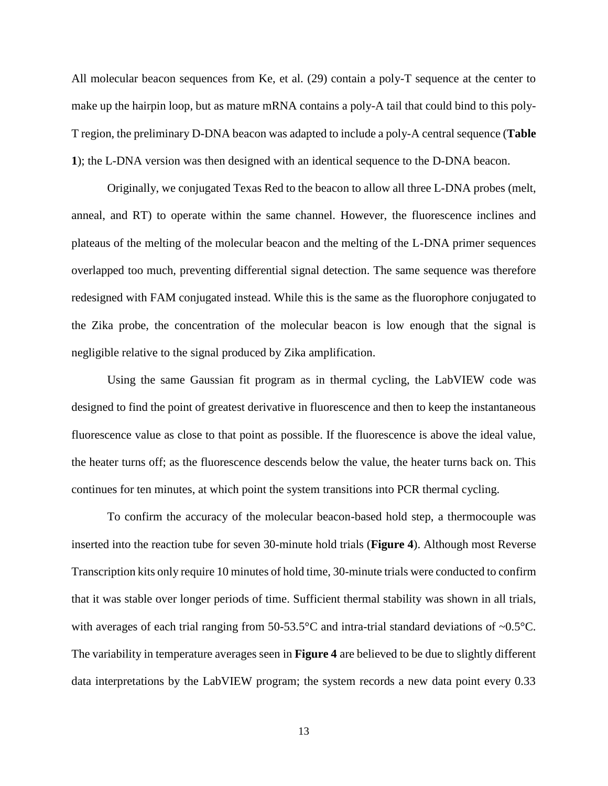All molecular beacon sequences from Ke, et al. (29) contain a poly-T sequence at the center to make up the hairpin loop, but as mature mRNA contains a poly-A tail that could bind to this poly-T region, the preliminary D-DNA beacon was adapted to include a poly-A central sequence (**[Table](#page-12-2)  [1](#page-12-2)**); the L-DNA version was then designed with an identical sequence to the D-DNA beacon.

Originally, we conjugated Texas Red to the beacon to allow all three L-DNA probes (melt, anneal, and RT) to operate within the same channel. However, the fluorescence inclines and plateaus of the melting of the molecular beacon and the melting of the L-DNA primer sequences overlapped too much, preventing differential signal detection. The same sequence was therefore redesigned with FAM conjugated instead. While this is the same as the fluorophore conjugated to the Zika probe, the concentration of the molecular beacon is low enough that the signal is negligible relative to the signal produced by Zika amplification.

Using the same Gaussian fit program as in thermal cycling, the LabVIEW code was designed to find the point of greatest derivative in fluorescence and then to keep the instantaneous fluorescence value as close to that point as possible. If the fluorescence is above the ideal value, the heater turns off; as the fluorescence descends below the value, the heater turns back on. This continues for ten minutes, at which point the system transitions into PCR thermal cycling.

To confirm the accuracy of the molecular beacon-based hold step, a thermocouple was inserted into the reaction tube for seven 30-minute hold trials (**[Figure 4](#page-18-1)**). Although most Reverse Transcription kits only require 10 minutes of hold time, 30-minute trials were conducted to confirm that it was stable over longer periods of time. Sufficient thermal stability was shown in all trials, with averages of each trial ranging from  $50-53.5^{\circ}$ C and intra-trial standard deviations of  $\sim 0.5^{\circ}$ C. The variability in temperature averages seen in **[Figure 4](#page-18-1)** are believed to be due to slightly different data interpretations by the LabVIEW program; the system records a new data point every 0.33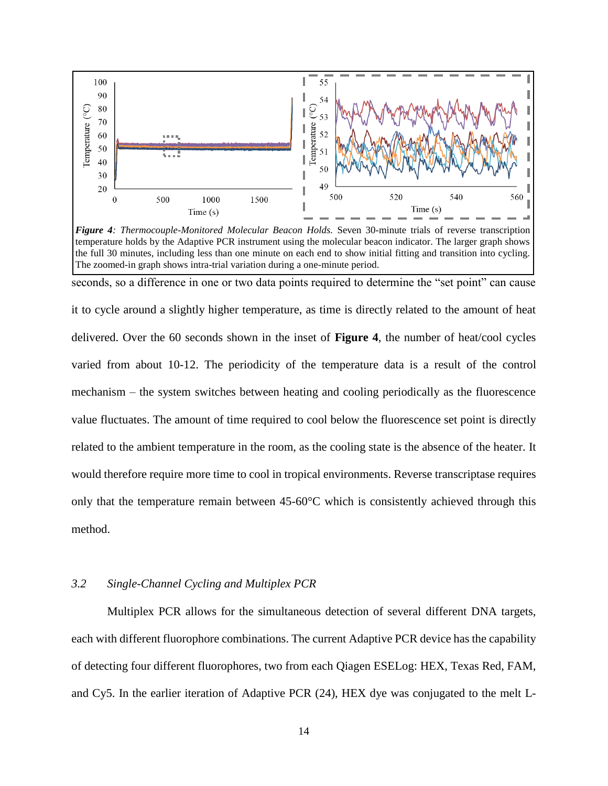

<span id="page-18-1"></span>temperature holds by the Adaptive PCR instrument using the molecular beacon indicator. The larger graph shows the full 30 minutes, including less than one minute on each end to show initial fitting and transition into cycling. The zoomed-in graph shows intra-trial variation during a one-minute period.

seconds, so a difference in one or two data points required to determine the "set point" can cause it to cycle around a slightly higher temperature, as time is directly related to the amount of heat delivered. Over the 60 seconds shown in the inset of **[Figure 4](#page-18-1)**, the number of heat/cool cycles varied from about 10-12. The periodicity of the temperature data is a result of the control mechanism – the system switches between heating and cooling periodically as the fluorescence value fluctuates. The amount of time required to cool below the fluorescence set point is directly related to the ambient temperature in the room, as the cooling state is the absence of the heater. It would therefore require more time to cool in tropical environments. Reverse transcriptase requires only that the temperature remain between  $45{\text -}60^{\circ}\text{C}$  which is consistently achieved through this method.

## <span id="page-18-0"></span>*3.2 Single-Channel Cycling and Multiplex PCR*

Multiplex PCR allows for the simultaneous detection of several different DNA targets, each with different fluorophore combinations. The current Adaptive PCR device has the capability of detecting four different fluorophores, two from each Qiagen ESELog: HEX, Texas Red, FAM, and Cy5. In the earlier iteration of Adaptive PCR (24), HEX dye was conjugated to the melt L-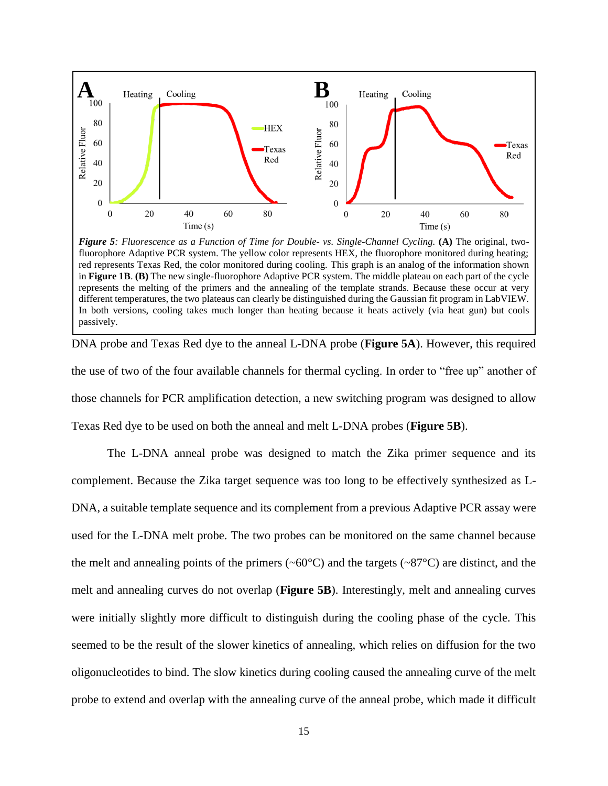

<span id="page-19-0"></span>*Figure 5: Fluorescence as a Function of Time for Double- vs. Single-Channel Cycling.* **(A)** The original, twofluorophore Adaptive PCR system. The yellow color represents HEX, the fluorophore monitored during heating; red represents Texas Red, the color monitored during cooling. This graph is an analog of the information shown in **[Figure 1B](#page-10-0)**. **(B)** The new single-fluorophore Adaptive PCR system. The middle plateau on each part of the cycle represents the melting of the primers and the annealing of the template strands. Because these occur at very different temperatures, the two plateaus can clearly be distinguished during the Gaussian fit program in LabVIEW. In both versions, cooling takes much longer than heating because it heats actively (via heat gun) but cools passively.

DNA probe and Texas Red dye to the anneal L-DNA probe (**[Figure 5A](#page-19-0)**). However, this required the use of two of the four available channels for thermal cycling. In order to "free up" another of those channels for PCR amplification detection, a new switching program was designed to allow Texas Red dye to be used on both the anneal and melt L-DNA probes (**[Figure 5B](#page-19-0)**).

The L-DNA anneal probe was designed to match the Zika primer sequence and its complement. Because the Zika target sequence was too long to be effectively synthesized as L-DNA, a suitable template sequence and its complement from a previous Adaptive PCR assay were used for the L-DNA melt probe. The two probes can be monitored on the same channel because the melt and annealing points of the primers ( $\sim 60^{\circ}$ C) and the targets ( $\sim 87^{\circ}$ C) are distinct, and the melt and annealing curves do not overlap (**[Figure 5B](#page-19-0)**). Interestingly, melt and annealing curves were initially slightly more difficult to distinguish during the cooling phase of the cycle. This seemed to be the result of the slower kinetics of annealing, which relies on diffusion for the two oligonucleotides to bind. The slow kinetics during cooling caused the annealing curve of the melt probe to extend and overlap with the annealing curve of the anneal probe, which made it difficult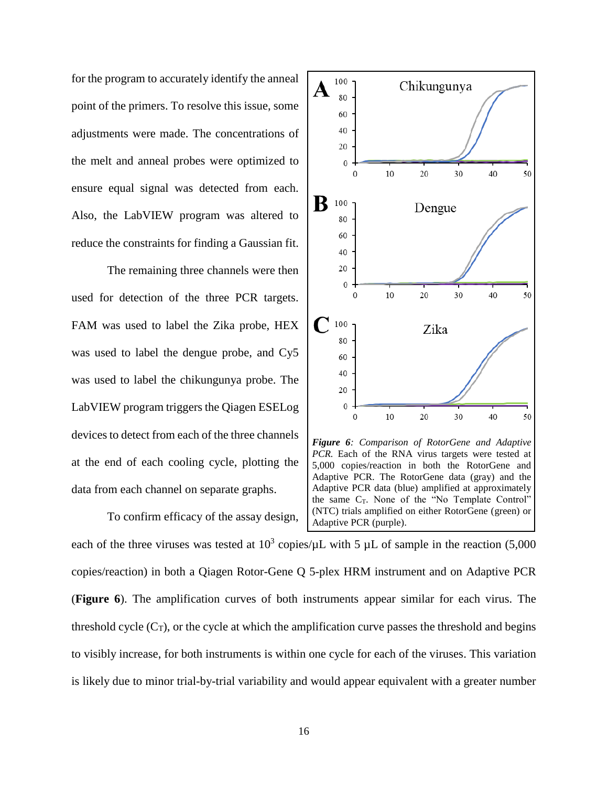for the program to accurately identify the anneal point of the primers. To resolve this issue, some adjustments were made. The concentrations of the melt and anneal probes were optimized to ensure equal signal was detected from each. Also, the LabVIEW program was altered to reduce the constraints for finding a Gaussian fit.

The remaining three channels were then used for detection of the three PCR targets. FAM was used to label the Zika probe, HEX was used to label the dengue probe, and Cy5 was used to label the chikungunya probe. The LabVIEW program triggers the Qiagen ESELog devices to detect from each of the three channels at the end of each cooling cycle, plotting the data from each channel on separate graphs.

To confirm efficacy of the assay design, each of the three viruses was tested at  $10^3$  copies/ $\mu$ L with 5  $\mu$ L of sample in the reaction (5,000 copies/reaction) in both a Qiagen Rotor-Gene Q 5-plex HRM instrument and on Adaptive PCR (**[Figure 6](#page-20-0)**). The amplification curves of both instruments appear similar for each virus. The threshold cycle  $(C_T)$ , or the cycle at which the amplification curve passes the threshold and begins to visibly increase, for both instruments is within one cycle for each of the viruses. This variation is likely due to minor trial-by-trial variability and would appear equivalent with a greater number Adaptive PCR (purple).



<span id="page-20-0"></span>*Figure 6: Comparison of RotorGene and Adaptive PCR.* Each of the RNA virus targets were tested at 5,000 copies/reaction in both the RotorGene and Adaptive PCR. The RotorGene data (gray) and the Adaptive PCR data (blue) amplified at approximately the same  $C_T$ . None of the "No Template Control" (NTC) trials amplified on either RotorGene (green) or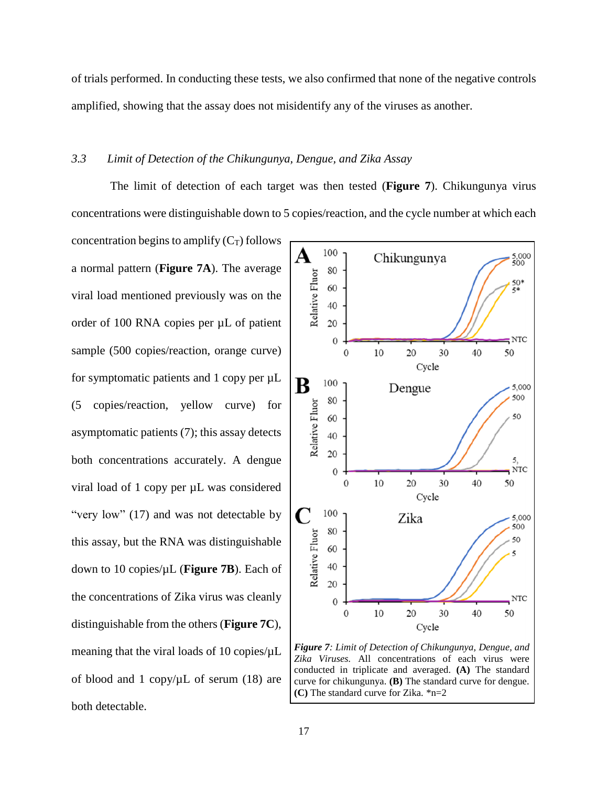of trials performed. In conducting these tests, we also confirmed that none of the negative controls amplified, showing that the assay does not misidentify any of the viruses as another.

## <span id="page-21-0"></span>*3.3 Limit of Detection of the Chikungunya, Dengue, and Zika Assay*

The limit of detection of each target was then tested (**[Figure 7](#page-21-1)**). Chikungunya virus concentrations were distinguishable down to 5 copies/reaction, and the cycle number at which each

concentration begins to amplify  $(C_T)$  follows a normal pattern (**[Figure 7A](#page-21-1)**). The average viral load mentioned previously was on the order of 100 RNA copies per µL of patient sample (500 copies/reaction, orange curve) for symptomatic patients and 1 copy per  $\mu$ L (5 copies/reaction, yellow curve) for asymptomatic patients (7); this assay detects both concentrations accurately. A dengue viral load of 1 copy per µL was considered "very low" (17) and was not detectable by this assay, but the RNA was distinguishable down to 10 copies/µL (**[Figure 7B](#page-21-1)**). Each of the concentrations of Zika virus was cleanly distinguishable from the others (**[Figure 7C](#page-21-1)**), meaning that the viral loads of 10 copies/ $\mu$ L of blood and 1 copy/ $\mu$ L of serum (18) are both detectable.



<span id="page-21-1"></span>*Figure 7: Limit of Detection of Chikungunya, Dengue, and Zika Viruses.* All concentrations of each virus were conducted in triplicate and averaged. **(A)** The standard curve for chikungunya. **(B)** The standard curve for dengue. **(C)** The standard curve for Zika. \*n=2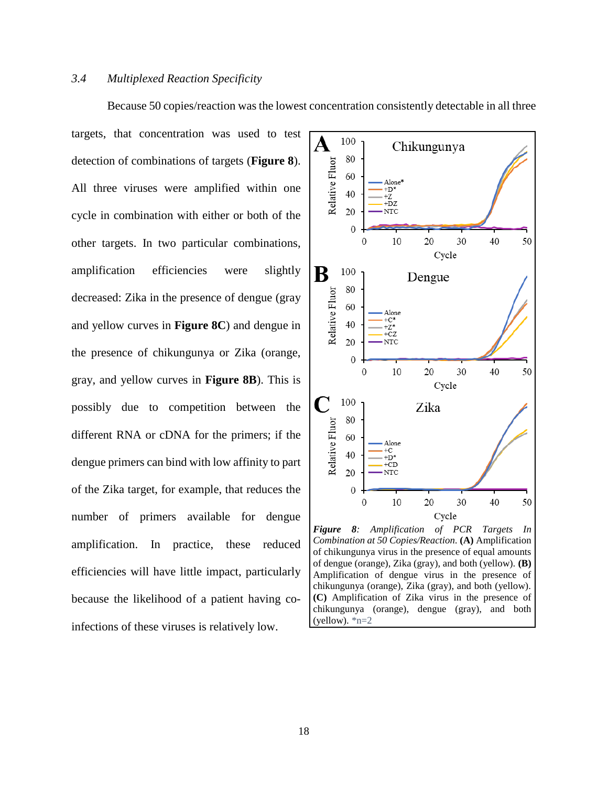#### <span id="page-22-0"></span>*3.4 Multiplexed Reaction Specificity*

targets, that concentration was used to test detection of combinations of targets (**[Figure 8](#page-22-1)**). All three viruses were amplified within one cycle in combination with either or both of the other targets. In two particular combinations, amplification efficiencies were slightly decreased: Zika in the presence of dengue (gray and yellow curves in **[Figure 8C](#page-22-1)**) and dengue in the presence of chikungunya or Zika (orange, gray, and yellow curves in **[Figure 8B](#page-22-1)**). This is possibly due to competition between the different RNA or cDNA for the primers; if the dengue primers can bind with low affinity to part of the Zika target, for example, that reduces the number of primers available for dengue amplification. In practice, these reduced efficiencies will have little impact, particularly because the likelihood of a patient having coinfections of these viruses is relatively low.



Because 50 copies/reaction was the lowest concentration consistently detectable in all three

<span id="page-22-1"></span>(yellow).  $n=2$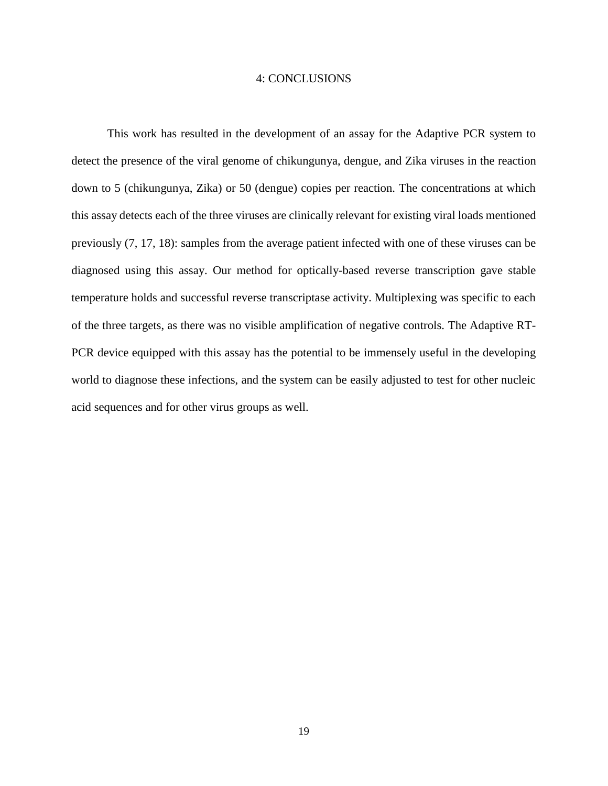#### 4: CONCLUSIONS

<span id="page-23-0"></span>This work has resulted in the development of an assay for the Adaptive PCR system to detect the presence of the viral genome of chikungunya, dengue, and Zika viruses in the reaction down to 5 (chikungunya, Zika) or 50 (dengue) copies per reaction. The concentrations at which this assay detects each of the three viruses are clinically relevant for existing viral loads mentioned previously (7, 17, 18): samples from the average patient infected with one of these viruses can be diagnosed using this assay. Our method for optically-based reverse transcription gave stable temperature holds and successful reverse transcriptase activity. Multiplexing was specific to each of the three targets, as there was no visible amplification of negative controls. The Adaptive RT-PCR device equipped with this assay has the potential to be immensely useful in the developing world to diagnose these infections, and the system can be easily adjusted to test for other nucleic acid sequences and for other virus groups as well.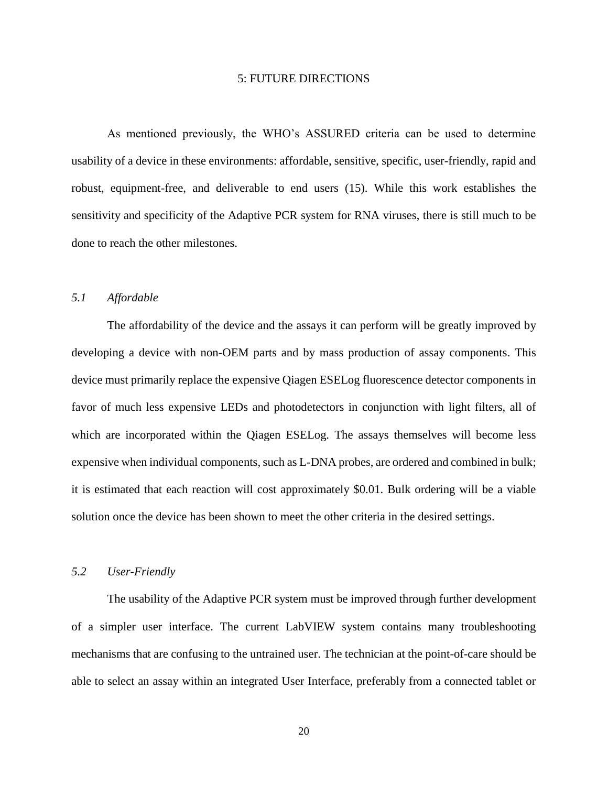#### 5: FUTURE DIRECTIONS

<span id="page-24-0"></span>As mentioned previously, the WHO's ASSURED criteria can be used to determine usability of a device in these environments: affordable, sensitive, specific, user-friendly, rapid and robust, equipment-free, and deliverable to end users (15). While this work establishes the sensitivity and specificity of the Adaptive PCR system for RNA viruses, there is still much to be done to reach the other milestones.

#### <span id="page-24-1"></span>*5.1 Affordable*

The affordability of the device and the assays it can perform will be greatly improved by developing a device with non-OEM parts and by mass production of assay components. This device must primarily replace the expensive Qiagen ESELog fluorescence detector components in favor of much less expensive LEDs and photodetectors in conjunction with light filters, all of which are incorporated within the Qiagen ESELog. The assays themselves will become less expensive when individual components, such as L-DNA probes, are ordered and combined in bulk; it is estimated that each reaction will cost approximately \$0.01. Bulk ordering will be a viable solution once the device has been shown to meet the other criteria in the desired settings.

#### <span id="page-24-2"></span>*5.2 User-Friendly*

The usability of the Adaptive PCR system must be improved through further development of a simpler user interface. The current LabVIEW system contains many troubleshooting mechanisms that are confusing to the untrained user. The technician at the point-of-care should be able to select an assay within an integrated User Interface, preferably from a connected tablet or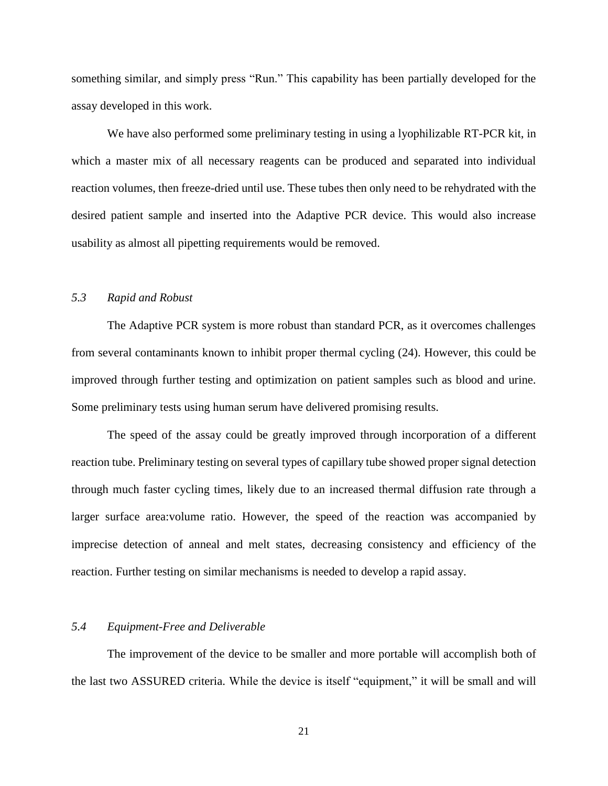something similar, and simply press "Run." This capability has been partially developed for the assay developed in this work.

We have also performed some preliminary testing in using a lyophilizable RT-PCR kit, in which a master mix of all necessary reagents can be produced and separated into individual reaction volumes, then freeze-dried until use. These tubes then only need to be rehydrated with the desired patient sample and inserted into the Adaptive PCR device. This would also increase usability as almost all pipetting requirements would be removed.

## <span id="page-25-0"></span>*5.3 Rapid and Robust*

The Adaptive PCR system is more robust than standard PCR, as it overcomes challenges from several contaminants known to inhibit proper thermal cycling (24). However, this could be improved through further testing and optimization on patient samples such as blood and urine. Some preliminary tests using human serum have delivered promising results.

The speed of the assay could be greatly improved through incorporation of a different reaction tube. Preliminary testing on several types of capillary tube showed proper signal detection through much faster cycling times, likely due to an increased thermal diffusion rate through a larger surface area:volume ratio. However, the speed of the reaction was accompanied by imprecise detection of anneal and melt states, decreasing consistency and efficiency of the reaction. Further testing on similar mechanisms is needed to develop a rapid assay.

#### <span id="page-25-1"></span>*5.4 Equipment-Free and Deliverable*

The improvement of the device to be smaller and more portable will accomplish both of the last two ASSURED criteria. While the device is itself "equipment," it will be small and will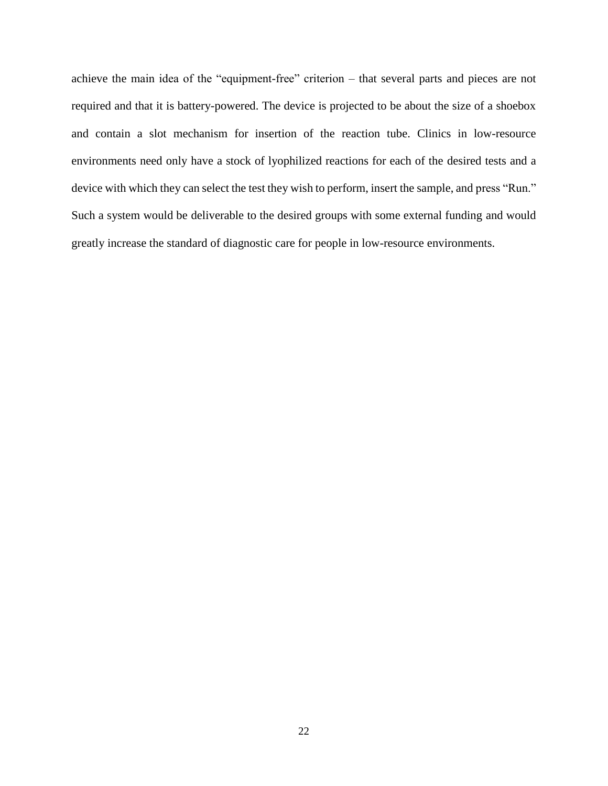achieve the main idea of the "equipment-free" criterion – that several parts and pieces are not required and that it is battery-powered. The device is projected to be about the size of a shoebox and contain a slot mechanism for insertion of the reaction tube. Clinics in low-resource environments need only have a stock of lyophilized reactions for each of the desired tests and a device with which they can select the test they wish to perform, insert the sample, and press "Run." Such a system would be deliverable to the desired groups with some external funding and would greatly increase the standard of diagnostic care for people in low-resource environments.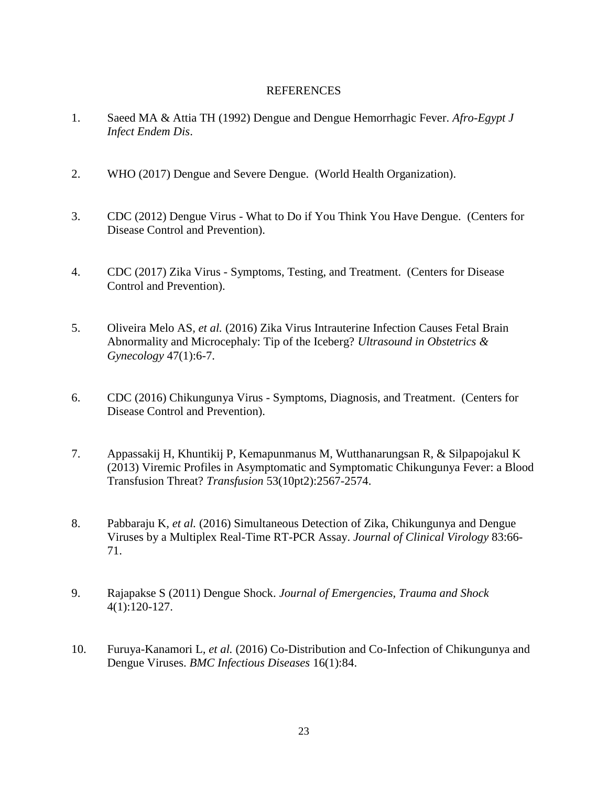## REFERENCES

- <span id="page-27-0"></span>1. Saeed MA & Attia TH (1992) Dengue and Dengue Hemorrhagic Fever. *Afro-Egypt J Infect Endem Dis*.
- 2. WHO (2017) Dengue and Severe Dengue. (World Health Organization).
- 3. CDC (2012) Dengue Virus What to Do if You Think You Have Dengue. (Centers for Disease Control and Prevention).
- 4. CDC (2017) Zika Virus Symptoms, Testing, and Treatment. (Centers for Disease Control and Prevention).
- 5. Oliveira Melo AS*, et al.* (2016) Zika Virus Intrauterine Infection Causes Fetal Brain Abnormality and Microcephaly: Tip of the Iceberg? *Ultrasound in Obstetrics & Gynecology* 47(1):6-7.
- 6. CDC (2016) Chikungunya Virus Symptoms, Diagnosis, and Treatment. (Centers for Disease Control and Prevention).
- 7. Appassakij H, Khuntikij P, Kemapunmanus M, Wutthanarungsan R, & Silpapojakul K (2013) Viremic Profiles in Asymptomatic and Symptomatic Chikungunya Fever: a Blood Transfusion Threat? *Transfusion* 53(10pt2):2567-2574.
- 8. Pabbaraju K*, et al.* (2016) Simultaneous Detection of Zika, Chikungunya and Dengue Viruses by a Multiplex Real-Time RT-PCR Assay. *Journal of Clinical Virology* 83:66- 71.
- 9. Rajapakse S (2011) Dengue Shock. *Journal of Emergencies, Trauma and Shock* 4(1):120-127.
- 10. Furuya-Kanamori L*, et al.* (2016) Co-Distribution and Co-Infection of Chikungunya and Dengue Viruses. *BMC Infectious Diseases* 16(1):84.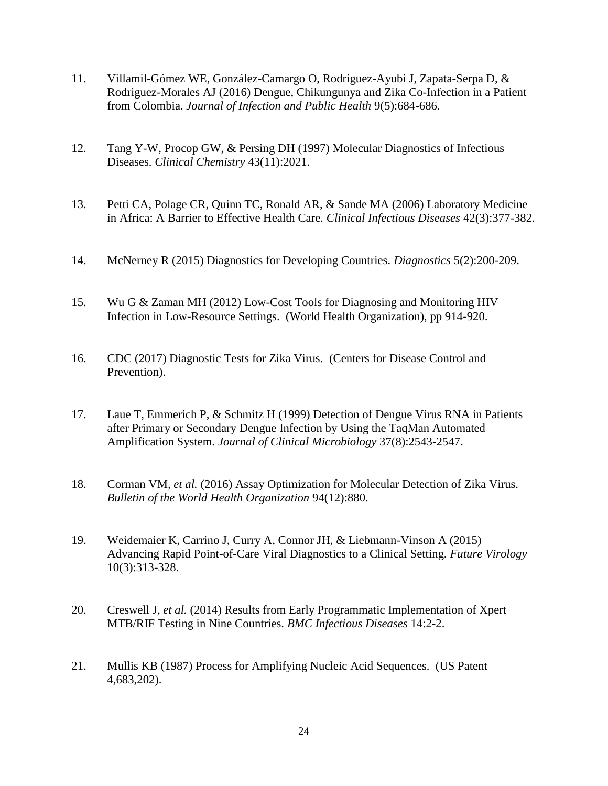- 11. Villamil-Gómez WE, González-Camargo O, Rodriguez-Ayubi J, Zapata-Serpa D, & Rodriguez-Morales AJ (2016) Dengue, Chikungunya and Zika Co-Infection in a Patient from Colombia. *Journal of Infection and Public Health* 9(5):684-686.
- 12. Tang Y-W, Procop GW, & Persing DH (1997) Molecular Diagnostics of Infectious Diseases. *Clinical Chemistry* 43(11):2021.
- 13. Petti CA, Polage CR, Quinn TC, Ronald AR, & Sande MA (2006) Laboratory Medicine in Africa: A Barrier to Effective Health Care. *Clinical Infectious Diseases* 42(3):377-382.
- 14. McNerney R (2015) Diagnostics for Developing Countries. *Diagnostics* 5(2):200-209.
- 15. Wu G & Zaman MH (2012) Low-Cost Tools for Diagnosing and Monitoring HIV Infection in Low-Resource Settings. (World Health Organization), pp 914-920.
- 16. CDC (2017) Diagnostic Tests for Zika Virus. (Centers for Disease Control and Prevention).
- 17. Laue T, Emmerich P, & Schmitz H (1999) Detection of Dengue Virus RNA in Patients after Primary or Secondary Dengue Infection by Using the TaqMan Automated Amplification System. *Journal of Clinical Microbiology* 37(8):2543-2547.
- 18. Corman VM*, et al.* (2016) Assay Optimization for Molecular Detection of Zika Virus. *Bulletin of the World Health Organization* 94(12):880.
- 19. Weidemaier K, Carrino J, Curry A, Connor JH, & Liebmann-Vinson A (2015) Advancing Rapid Point-of-Care Viral Diagnostics to a Clinical Setting. *Future Virology* 10(3):313-328.
- 20. Creswell J*, et al.* (2014) Results from Early Programmatic Implementation of Xpert MTB/RIF Testing in Nine Countries. *BMC Infectious Diseases* 14:2-2.
- 21. Mullis KB (1987) Process for Amplifying Nucleic Acid Sequences. (US Patent 4,683,202).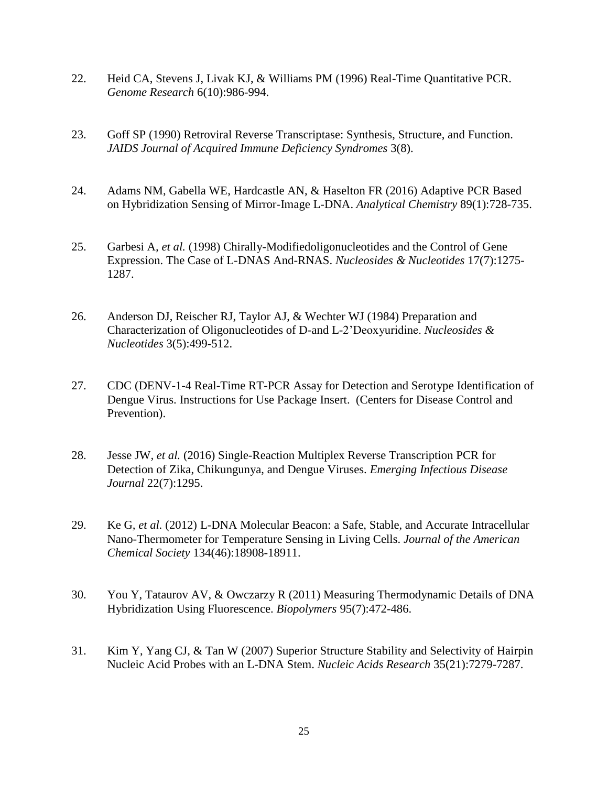- 22. Heid CA, Stevens J, Livak KJ, & Williams PM (1996) Real-Time Quantitative PCR. *Genome Research* 6(10):986-994.
- 23. Goff SP (1990) Retroviral Reverse Transcriptase: Synthesis, Structure, and Function. *JAIDS Journal of Acquired Immune Deficiency Syndromes* 3(8).
- 24. Adams NM, Gabella WE, Hardcastle AN, & Haselton FR (2016) Adaptive PCR Based on Hybridization Sensing of Mirror-Image L-DNA. *Analytical Chemistry* 89(1):728-735.
- 25. Garbesi A*, et al.* (1998) Chirally-Modifiedoligonucleotides and the Control of Gene Expression. The Case of L-DNAS And-RNAS. *Nucleosides & Nucleotides* 17(7):1275- 1287.
- 26. Anderson DJ, Reischer RJ, Taylor AJ, & Wechter WJ (1984) Preparation and Characterization of Oligonucleotides of D-and L-2'Deoxyuridine. *Nucleosides & Nucleotides* 3(5):499-512.
- 27. CDC (DENV-1-4 Real-Time RT-PCR Assay for Detection and Serotype Identification of Dengue Virus. Instructions for Use Package Insert. (Centers for Disease Control and Prevention).
- 28. Jesse JW*, et al.* (2016) Single-Reaction Multiplex Reverse Transcription PCR for Detection of Zika, Chikungunya, and Dengue Viruses. *Emerging Infectious Disease Journal* 22(7):1295.
- 29. Ke G*, et al.* (2012) L-DNA Molecular Beacon: a Safe, Stable, and Accurate Intracellular Nano-Thermometer for Temperature Sensing in Living Cells. *Journal of the American Chemical Society* 134(46):18908-18911.
- 30. You Y, Tataurov AV, & Owczarzy R (2011) Measuring Thermodynamic Details of DNA Hybridization Using Fluorescence. *Biopolymers* 95(7):472-486.
- 31. Kim Y, Yang CJ, & Tan W (2007) Superior Structure Stability and Selectivity of Hairpin Nucleic Acid Probes with an L-DNA Stem. *Nucleic Acids Research* 35(21):7279-7287.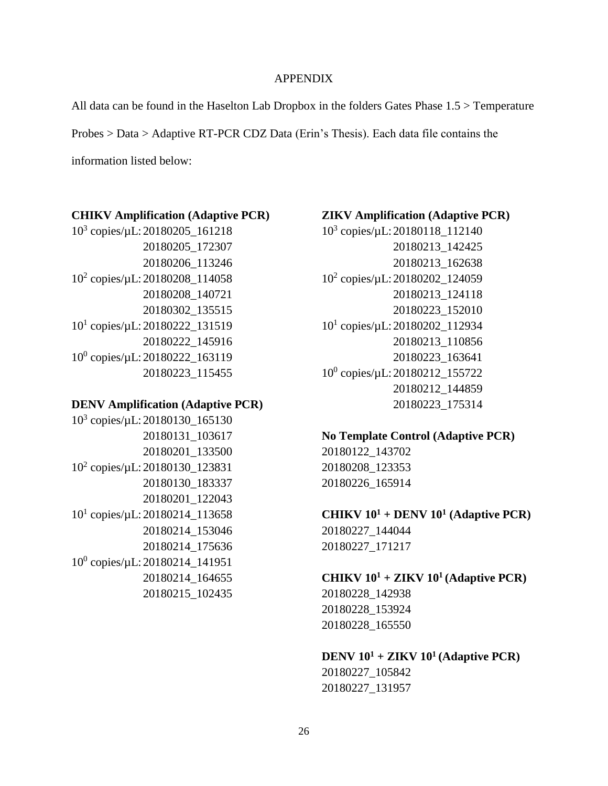#### APPENDIX

<span id="page-30-0"></span>All data can be found in the Haselton Lab Dropbox in the folders Gates Phase 1.5 > Temperature Probes > Data > Adaptive RT-PCR CDZ Data (Erin's Thesis). Each data file contains the information listed below:

### **CHIKV Amplification (Adaptive PCR)**

10<sup>3</sup> copies/µL: 20180205\_161218 20180205\_172307 20180206\_113246 10<sup>2</sup> copies/µL: 20180208\_114058 20180208\_140721 20180302\_135515 10<sup>1</sup> copies/µL: 20180222\_131519 20180222\_145916 10<sup>0</sup> copies/µL: 20180222\_163119 20180223\_115455

## **DENV Amplification (Adaptive PCR)**

10<sup>3</sup> copies/µL: 20180130\_165130 20180131\_103617 20180201\_133500 10<sup>2</sup> copies/µL: 20180130\_123831 20180130\_183337 20180201\_122043 10<sup>1</sup> copies/µL: 20180214\_113658 20180214\_153046 20180214\_175636 10<sup>0</sup> copies/µL: 20180214\_141951 20180214\_164655 20180215\_102435

## **ZIKV Amplification (Adaptive PCR)**

10<sup>3</sup> copies/µL: 20180118\_112140 20180213\_142425 20180213\_162638 10<sup>2</sup> copies/µL: 20180202\_124059 20180213\_124118 20180223\_152010 10<sup>1</sup> copies/µL: 20180202\_112934 20180213\_110856 20180223\_163641 10<sup>0</sup> copies/µL: 20180212\_155722 20180212\_144859 20180223\_175314

## **No Template Control (Adaptive PCR)** 20180122\_143702

20180208\_123353 20180226\_165914

**CHIKV 10<sup>1</sup> + DENV 10<sup>1</sup> (Adaptive PCR)** 20180227\_144044 20180227\_171217

## **CHIKV 10<sup>1</sup> + ZIKV 10<sup>1</sup> (Adaptive PCR)** 20180228\_142938 20180228\_153924

20180228\_165550

**DENV 10<sup>1</sup> + ZIKV 10<sup>1</sup> (Adaptive PCR)** 20180227\_105842 20180227\_131957